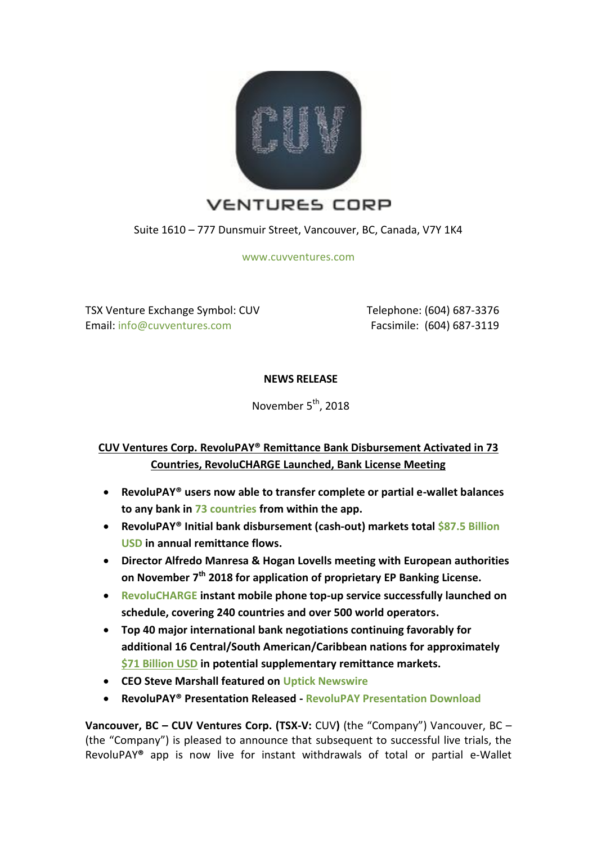

Suite 1610 – 777 Dunsmuir Street, Vancouver, BC, Canada, V7Y 1K4

[www.cuvventures.com](http://www.cuvventures.com/)

TSX Venture Exchange Symbol: CUV Email[: info@cuvventures.com](mailto:info@cuvventures.com)

 Telephone: (604) 687-3376 Facsimile: (604) 687-3119

**NEWS RELEASE**

November 5<sup>th</sup>, 2018

# **CUV Ventures Corp. RevoluPAY® Remittance Bank Disbursement Activated in 73 Countries, RevoluCHARGE Launched, Bank License Meeting**

- **RevoluPAY® users now able to transfer complete or partial e-wallet balances to any bank in [73 countries](https://cuvventures.com/assets/docs/RevoluPAY_2018.pdf) from within the app.**
- **RevoluPAY® Initial bank disbursement (cash-out) markets tota[l \\$87.5 Billion](https://cuvventures.com/assets/docs/RevoluPAY_2018.pdf)  [USD](https://cuvventures.com/assets/docs/RevoluPAY_2018.pdf) in annual remittance flows.**
- **Director Alfredo Manresa & Hogan Lovells meeting with European authorities on November 7 th 2018 for application of proprietary EP Banking License.**
- **[RevoluCHARGE](http://www.revolucharge.com/) instant mobile phone top-up service successfully launched on schedule, covering 240 countries and over 500 world operators.**
- **Top 40 major international bank negotiations continuing favorably for additional 16 Central/South American/Caribbean nations for approximately [\\$71 Billion USD](https://www.cuvventures.com/assets/docs/2018-06-29-nr-cuv-97c743.pdf) in potential supplementary remittance markets.**
- **CEO Steve Marshall featured on [Uptick Newswire](https://www.youtube.com/watch?v=rrH1oBLWFKY)**
- **RevoluPAY® Presentation Released - [RevoluPAY Presentation Download](https://cuvventures.com/assets/docs/RevoluPAY_2018.pdf)**

**Vancouver, BC – CUV Ventures Corp. (TSX-V:** [CUV](http://web.tmxmoney.com/quote.php?qm_symbol=CUV)**)** (the "Company") Vancouver, BC – (the "Company") is pleased to announce that subsequent to successful live trials, the RevoluPAY**®** app is now live for instant withdrawals of total or partial e-Wallet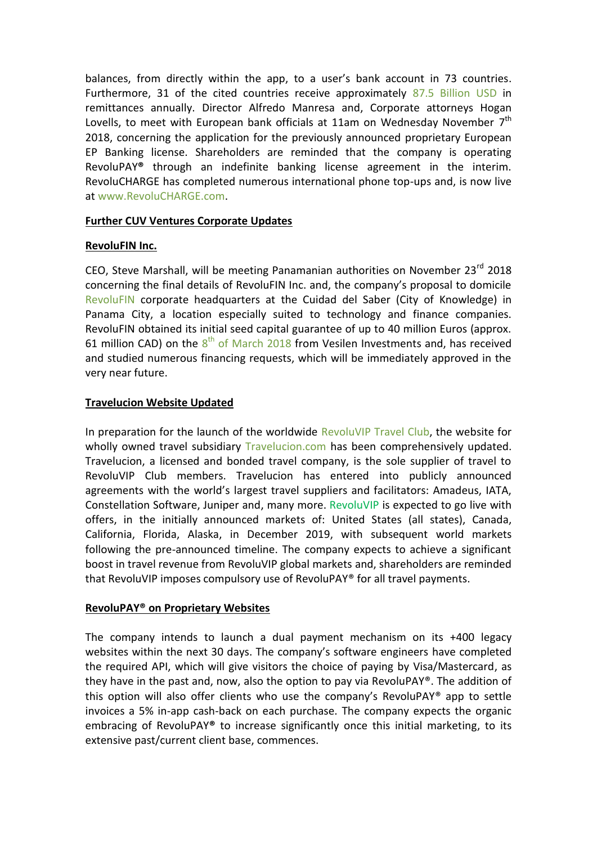balances, from directly within the app, to a user's bank account in 73 countries. Furthermore, 31 of the cited countries receive approximately [87.5 Billion USD](https://cuvventures.com/assets/docs/RevoluPAY_2018.pdf) in remittances annually. Director Alfredo Manresa and, Corporate attorneys Hogan Lovells, to meet with European bank officials at 11am on Wednesday November  $7<sup>th</sup>$ 2018, concerning the application for the previously announced proprietary European EP Banking license. Shareholders are reminded that the company is operating RevoluPAY**®** through an indefinite banking license agreement in the interim. RevoluCHARGE has completed numerous international phone top-ups and, is now live at [www.RevoluCHARGE.com.](http://www.revolucharge.com/)

#### **Further CUV Ventures Corporate Updates**

# **RevoluFIN Inc.**

CEO, Steve Marshall, will be meeting Panamanian authorities on November 23<sup>rd</sup> 2018 concerning the final details of RevoluFIN Inc. and, the company's proposal to domicile [RevoluFIN](http://www.revolufin.com/) corporate headquarters at the Cuidad del Saber (City of Knowledge) in Panama City, a location especially suited to technology and finance companies. RevoluFIN obtained its initial seed capital guarantee of up to 40 million Euros (approx. 61 million CAD) on the  $8^{th}$  [of March 2018](https://www.cuvventures.com/assets/docs/2018-03-08-nr-cuv-pr27wc.pdf) from Vesilen Investments and, has received and studied numerous financing requests, which will be immediately approved in the very near future.

# **Travelucion Website Updated**

In preparation for the launch of the worldwide RevoluVIP [Travel Club,](http://www.revoluvip.club/devclub/) the website for wholly owned travel subsidiary [Travelucion.com](http://www.travelucion.com/) has been comprehensively updated. Travelucion, a licensed and bonded travel company, is the sole supplier of travel to RevoluVIP Club members. Travelucion has entered into publicly announced agreements with the world's largest travel suppliers and facilitators: Amadeus, IATA, Constellation Software, Juniper and, many more. [RevoluVIP](https://www.cuvventures.com/assets/docs/presentations/Presentation_RevoluVIP_2018.pdf) is expected to go live with offers, in the initially announced markets of: United States (all states), Canada, California, Florida, Alaska, in December 2019, with subsequent world markets following the pre-announced timeline. The company expects to achieve a significant boost in travel revenue from RevoluVIP global markets and, shareholders are reminded that RevoluVIP imposes compulsory use of RevoluPAY® for all travel payments.

# **RevoluPAY® on Proprietary Websites**

The company intends to launch a dual payment mechanism on its +400 legacy websites within the next 30 days. The company's software engineers have completed the required API, which will give visitors the choice of paying by Visa/Mastercard, as they have in the past and, now, also the option to pay via RevoluPAY®. The addition of this option will also offer clients who use the company's RevoluPAY® app to settle invoices a 5% in-app cash-back on each purchase. The company expects the organic embracing of RevoluPAY**®** to increase significantly once this initial marketing, to its extensive past/current client base, commences.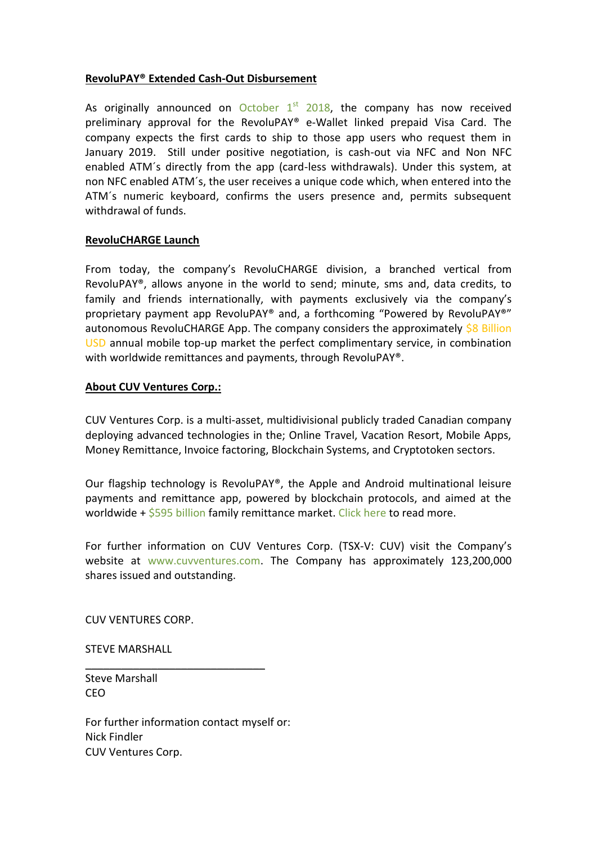#### **RevoluPAY® Extended Cash-Out Disbursement**

As originally announced on October  $1<sup>st</sup>$  2018, the company has now received preliminary approval for the RevoluPAY® e-Wallet linked prepaid Visa Card. The company expects the first cards to ship to those app users who request them in January 2019. Still under positive negotiation, is cash-out via NFC and Non NFC enabled ATM´s directly from the app (card-less withdrawals). Under this system, at non NFC enabled ATM´s, the user receives a unique code which, when entered into the ATM´s numeric keyboard, confirms the users presence and, permits subsequent withdrawal of funds.

#### **RevoluCHARGE Launch**

From today, the company's RevoluCHARGE division, a branched vertical from RevoluPAY®, allows anyone in the world to send; minute, sms and, data credits, to family and friends internationally, with payments exclusively via the company's proprietary payment app RevoluPAY® and, a forthcoming "Powered by RevoluPAY®" autonomous RevoluCHARGE App. The company considers the approximately [\\$8 Billion](https://www.quora.com/What-is-the-true-size-of-the-international-airtime-top-up-market-Ive-read-everything-from-1b-to-5-10-of-remittance-flows-20-30b-Everyone-from-Ding-to-Prepay-Nation-to-TransferTo-has-very-different-answers-to-this-question)  [USD](https://www.quora.com/What-is-the-true-size-of-the-international-airtime-top-up-market-Ive-read-everything-from-1b-to-5-10-of-remittance-flows-20-30b-Everyone-from-Ding-to-Prepay-Nation-to-TransferTo-has-very-different-answers-to-this-question) annual mobile top-up market the perfect complimentary service, in combination with worldwide remittances and payments, through RevoluPAY®.

#### **About CUV Ventures Corp.:**

CUV Ventures Corp. is a multi-asset, multidivisional publicly traded Canadian company deploying advanced technologies in the; Online Travel, Vacation Resort, Mobile Apps, Money Remittance, Invoice factoring, Blockchain Systems, and Cryptotoken sectors.

Our flagship technology is RevoluPAY®, the Apple and Android multinational leisure payments and remittance app, powered by blockchain protocols, and aimed at the worldwide  $+$  [\\$595 billion](http://www.worldbank.org/en/topic/migrationremittancesdiasporaissues/brief/migration-remittances-data) family remittance market. [Click here](https://cuvventures.com/about/about-cuv-ventures) to read more.

For further information on CUV Ventures Corp. (TSX-V: CUV) visit the Company's website at [www.cuvventures.com.](http://www.cuvventures.com/) The Company has approximately 123,200,000 shares issued and outstanding.

CUV VENTURES CORP.

STEVE MARSHALL

Steve Marshall CEO

For further information contact myself or: Nick Findler CUV Ventures Corp.

 $\overline{\phantom{a}}$  , where  $\overline{\phantom{a}}$  , where  $\overline{\phantom{a}}$  ,  $\overline{\phantom{a}}$  ,  $\overline{\phantom{a}}$  ,  $\overline{\phantom{a}}$  ,  $\overline{\phantom{a}}$  ,  $\overline{\phantom{a}}$  ,  $\overline{\phantom{a}}$  ,  $\overline{\phantom{a}}$  ,  $\overline{\phantom{a}}$  ,  $\overline{\phantom{a}}$  ,  $\overline{\phantom{a}}$  ,  $\overline{\phantom{a}}$  ,  $\overline{\phantom{a}}$  ,